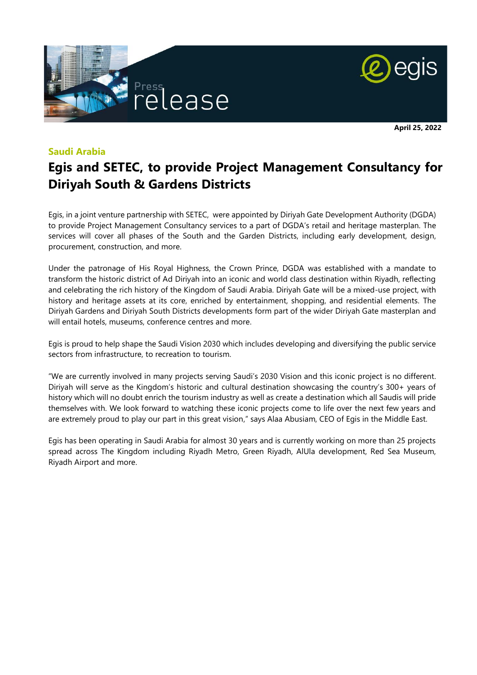



**April 25, 2022**

#### **Saudi Arabia**

# **Egis and SETEC, to provide Project Management Consultancy for Diriyah South & Gardens Districts**

Egis, in a joint venture partnership with SETEC, were appointed by Diriyah Gate Development Authority (DGDA) to provide Project Management Consultancy services to a part of DGDA's retail and heritage masterplan. The services will cover all phases of the South and the Garden Districts, including early development, design, procurement, construction, and more.

Under the patronage of His Royal Highness, the Crown Prince, DGDA was established with a mandate to transform the historic district of Ad Diriyah into an iconic and world class destination within Riyadh, reflecting and celebrating the rich history of the Kingdom of Saudi Arabia. Diriyah Gate will be a mixed-use project, with history and heritage assets at its core, enriched by entertainment, shopping, and residential elements. The Diriyah Gardens and Diriyah South Districts developments form part of the wider Diriyah Gate masterplan and will entail hotels, museums, conference centres and more.

Egis is proud to help shape the Saudi Vision 2030 which includes developing and diversifying the public service sectors from infrastructure, to recreation to tourism.

"We are currently involved in many projects serving Saudi's 2030 Vision and this iconic project is no different. Diriyah will serve as the Kingdom's historic and cultural destination showcasing the country's 300+ years of history which will no doubt enrich the tourism industry as well as create a destination which all Saudis will pride themselves with. We look forward to watching these iconic projects come to life over the next few years and are extremely proud to play our part in this great vision," says Alaa Abusiam, CEO of Egis in the Middle East.

Egis has been operating in Saudi Arabia for almost 30 years and is currently working on more than 25 projects spread across The Kingdom including Riyadh Metro, Green Riyadh, AlUla development, Red Sea Museum, Riyadh Airport and more.